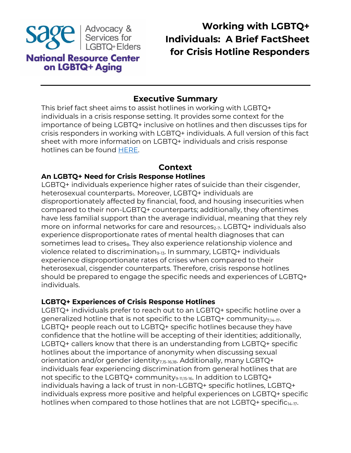

# **Working with LGBTQ+ Individuals: A Brief FactSheet for Crisis Hotline Responders**

## **Executive Summary**

This brief fact sheet aims to assist hotlines in working with LGBTQ+ individuals in a crisis response setting. It provides some context for the importance of being LGBTQ+ inclusive on hotlines and then discusses tips for crisis responders in working with LGBTQ+ individuals. A full version of this fact sheet with more information on LGBTQ+ individuals and crisis response hotlines can be found [HERE.](https://www.lgbtagingcenter.org/resources/resource.cfm?r=2104&testView=1&_gl=1*1c3bg58*_ga*MTMxMTY4NDc3OC4xNjUyNzI4NjI1*_ga_YKVT8DY5PC*MTY1MzUxMTI3MC4zLjEuMTY1MzUxMTk5MC4w)

### **Context**

#### **An LGBTQ+ Need for Crisis Response Hotlines**

LGBTQ+ individuals experience higher rates of suicide than their cisgender, heterosexual counterparts<sub>1</sub>. Moreover, LGBTQ+ individuals are disproportionately affected by financial, food, and housing insecurities when compared to their non-LGBTQ+ counterparts; additionally, they oftentimes have less familial support than the average individual, meaning that they rely more on informal networks for care and resources<sub>2-7</sub>. LGBTQ+ individuals also experience disproportionate rates of mental health diagnoses that can sometimes lead to crises<sub>8</sub>. They also experience relationship violence and violence related to discrimination<sub>9-13</sub>. In summary, LGBTQ+ individuals experience disproportionate rates of crises when compared to their heterosexual, cisgender counterparts. Therefore, crisis response hotlines should be prepared to engage the specific needs and experiences of LGBTQ+ individuals.

#### **LGBTQ+ Experiences of Crisis Response Hotlines**

LGBTQ+ individuals prefer to reach out to an LGBTQ+ specific hotline over a generalized hotline that is not specific to the LGBTQ+ community $_{7,14-17}$ . LGBTQ+ people reach out to LGBTQ+ specific hotlines because they have confidence that the hotline will be accepting of their identities; additionally, LGBTQ+ callers know that there is an understanding from LGBTQ+ specific hotlines about the importance of anonymity when discussing sexual orientation and/or gender identity<sub>7,15-16,18</sub>. Additionally, many LGBTQ+ individuals fear experiencing discrimination from general hotlines that are not specific to the LGBTQ+ community<sub>9-11,15-16</sub>. In addition to LGBTQ+ individuals having a lack of trust in non-LGBTQ+ specific hotlines, LGBTQ+ individuals express more positive and helpful experiences on LGBTQ+ specific hotlines when compared to those hotlines that are not LGBTQ+ specific<sub>14-17</sub>.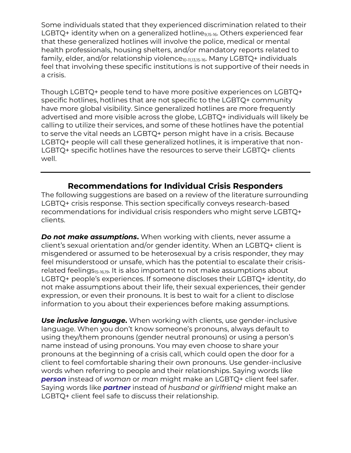Some individuals stated that they experienced discrimination related to their LGBTQ+ identity when on a generalized hotline<sub>9,15-16</sub>. Others experienced fear that these generalized hotlines will involve the police, medical or mental health professionals, housing shelters, and/or mandatory reports related to family, elder, and/or relationship violence<sub>10-11,13,15-16</sub>. Many LGBTQ+ individuals feel that involving these specific institutions is not supportive of their needs in a crisis.

Though LGBTQ+ people tend to have more positive experiences on LGBTQ+ specific hotlines, hotlines that are not specific to the LGBTQ+ community have more global visibility. Since generalized hotlines are more frequently advertised and more visible across the globe, LGBTQ+ individuals will likely be calling to utilize their services, and some of these hotlines have the potential to serve the vital needs an LGBTQ+ person might have in a crisis. Because LGBTQ+ people will call these generalized hotlines, it is imperative that non-LGBTQ+ specific hotlines have the resources to serve their LGBTQ+ clients well.

## **Recommendations for Individual Crisis Responders**

The following suggestions are based on a review of the literature surrounding LGBTQ+ crisis response. This section specifically conveys research-based recommendations for individual crisis responders who might serve LGBTQ+ clients.

*Do not make assumptions***.** When working with clients, never assume a client's sexual orientation and/or gender identity. When an LGBTQ+ client is misgendered or assumed to be heterosexual by a crisis responder, they may feel misunderstood or unsafe, which has the potential to escalate their crisisrelated feelings<sub>15-16,19</sub>. It is also important to not make assumptions about LGBTQ+ people's experiences. If someone discloses their LGBTQ+ identity, do not make assumptions about their life, their sexual experiences, their gender expression, or even their pronouns. It is best to wait for a client to disclose information to you about their experiences before making assumptions.

**Use inclusive language.** When working with clients, use gender-inclusive language. When you don't know someone's pronouns, always default to using they/them pronouns (gender neutral pronouns) or using a person's name instead of using pronouns. You may even choose to share your pronouns at the beginning of a crisis call, which could open the door for a client to feel comfortable sharing their own pronouns. Use gender-inclusive words when referring to people and their relationships. Saying words like *person* instead of *woman* or *man* might make an LGBTQ+ client feel safer. Saying words like *partner* instead of *husband* or *girlfriend* might make an LGBTQ+ client feel safe to discuss their relationship.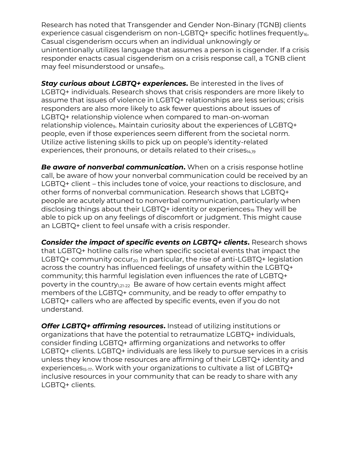Research has noted that Transgender and Gender Non-Binary (TGNB) clients experience casual cisgenderism on non-LGBTQ+ specific hotlines frequently $_{16}$ . Casual cisgenderism occurs when an individual unknowingly or unintentionally utilizes language that assumes a person is cisgender. If a crisis responder enacts casual cisgenderism on a crisis response call, a TGNB client may feel misunderstood or unsafe<sub>19</sub>.

*Stay curious about LGBTQ+ experiences***.** Be interested in the lives of LGBTQ+ individuals. Research shows that crisis responders are more likely to assume that issues of violence in LGBTQ+ relationships are less serious; crisis responders are also more likely to ask fewer questions about issues of LGBTQ+ relationship violence when compared to man-on-woman relationship violence<sub>9</sub>. Maintain curiosity about the experiences of LGBTQ+ people, even if those experiences seem different from the societal norm. Utilize active listening skills to pick up on people's identity-related experiences, their pronouns, or details related to their crises $_{4,19}$ 

*Be aware of nonverbal communication***.** When on a crisis response hotline call, be aware of how your nonverbal communication could be received by an LGBTQ+ client – this includes tone of voice, your reactions to disclosure, and other forms of nonverbal communication. Research shows that LGBTQ+ people are acutely attuned to nonverbal communication, particularly when disclosing things about their LGBTQ+ identity or experiences<sub>19</sub> They will be able to pick up on any feelings of discomfort or judgment. This might cause an LGBTQ+ client to feel unsafe with a crisis responder.

*Consider the impact of specific events on LGBTQ+ clients***.** Research shows that LGBTQ+ hotline calls rise when specific societal events that impact the LGBTQ+ community occur<sub>20</sub>. In particular, the rise of anti-LGBTQ+ legislation across the country has influenced feelings of unsafety within the LGBTQ+ community; this harmful legislation even influences the rate of LGBTQ+ poverty in the country $_{1,21-22}$  Be aware of how certain events might affect members of the LGBTQ+ community, and be ready to offer empathy to LGBTQ+ callers who are affected by specific events, even if you do not understand.

*Offer LGBTQ+ affirming resources***.** Instead of utilizing institutions or organizations that have the potential to retraumatize LGBTQ+ individuals, consider finding LGBTQ+ affirming organizations and networks to offer LGBTQ+ clients. LGBTQ+ individuals are less likely to pursue services in a crisis unless they know those resources are affirming of their LGBTQ+ identity and experiences<sub>15-17</sub>. Work with your organizations to cultivate a list of LGBTQ+ inclusive resources in your community that can be ready to share with any LGBTQ+ clients.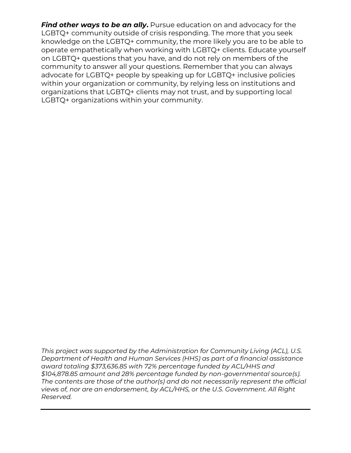*Find other ways to be an ally*. Pursue education on and advocacy for the LGBTQ+ community outside of crisis responding. The more that you seek knowledge on the LGBTQ+ community, the more likely you are to be able to operate empathetically when working with LGBTQ+ clients. Educate yourself on LGBTQ+ questions that you have, and do not rely on members of the community to answer all your questions. Remember that you can always advocate for LGBTQ+ people by speaking up for LGBTQ+ inclusive policies within your organization or community, by relying less on institutions and organizations that LGBTQ+ clients may not trust, and by supporting local LGBTQ+ organizations within your community.

*This project was supported by the Administration for Community Living (ACL), U.S. Department of Health and Human Services (HHS) as part of a financial assistance award totaling \$373,636.85 with 72% percentage funded by ACL/HHS and \$104,878.85 amount and 28% percentage funded by non-governmental source(s). The contents are those of the author(s) and do not necessarily represent the official views of, nor are an endorsement, by ACL/HHS, or the U.S. Government. All Right Reserved.*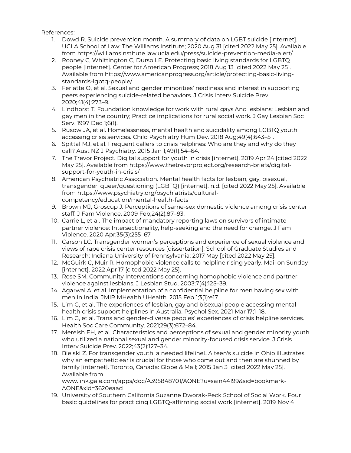References:

- 1. Dowd R. Suicide prevention month. A summary of data on LGBT suicide [internet]. UCLA School of Law: The Williams Institute; 2020 Aug 31 [cited 2022 May 25]. Available from<https://williamsinstitute.law.ucla.edu/press/suicide-prevention-media-alert/>
- 2. Rooney C, Whittington C, Durso LE. Protecting basic living standards for LGBTQ people [internet]. Center for American Progress; 2018 Aug 13 [cited 2022 May 25]. Available from [https://www.americanprogress.org/article/protecting-basic-living](https://www.americanprogress.org/article/protecting-basic-living-standards-lgbtq-people/)[standards-lgbtq-people/](https://www.americanprogress.org/article/protecting-basic-living-standards-lgbtq-people/)
- 3. Ferlatte O, et al. Sexual and gender minorities' readiness and interest in supporting peers experiencing suicide-related behaviors. J Crisis Interv Suicide Prev. 2020;41(4):273–9.
- 4. Lindhorst T. Foundation knowledge for work with rural gays And lesbians: Lesbian and gay men in the country; Practice implications for rural social work. J Gay Lesbian Soc Serv. 1997 Dec 1;6(1).
- 5. Rusow JA, et al. Homelessness, mental health and suicidality among LGBTQ youth accessing crisis services. Child Psychiatry Hum Dev. 2018 Aug;49(4):643–51.
- 6. Spittal MJ, et al. Frequent callers to crisis helplines: Who are they and why do they call? Aust NZ J Psychiatry. 2015 Jan 1;49(1):54–64.
- 7. The Trevor Project. Digital support for youth in crisis [internet]. 2019 Apr 24 [cited 2022 May 25]. Available fro[m https://www.thetrevorproject.org/research-briefs/digital](https://www.thetrevorproject.org/research-briefs/digital-support-for-youth-in-crisis/)[support-for-youth-in-crisis/](https://www.thetrevorproject.org/research-briefs/digital-support-for-youth-in-crisis/)
- 8. American Psychiatric Association. Mental health facts for lesbian, gay, bisexual, transgender, queer/questioning (LGBTQ) [internet]. n.d. [cited 2022 May 25]. Available from [https://www.psychiatry.org/psychiatrists/cultural](https://www.psychiatry.org/psychiatrists/cultural-competency/education/mental-health-facts)[competency/education/mental-health-facts](https://www.psychiatry.org/psychiatrists/cultural-competency/education/mental-health-facts)
- 9. Brown MJ, Groscup J. Perceptions of same-sex domestic violence among crisis center staff. J Fam Violence. 2009 Feb;24(2):87–93.
- 10. Carrie L, et al. The impact of mandatory reporting laws on survivors of intimate partner violence: Intersectionality, help-seeking and the need for change. J Fam Violence. 2020 Apr;35(3):255–67
- 11. Carson LC. Transgender women's perceptions and experience of sexual violence and views of rape crisis center resources [dissertation]. School of Graduate Studies and Research: Indiana University of Pennsylvania; 2017 May [cited 2022 May 25].
- 12. McGuirk C, Muir R. Homophobic violence calls to helpline rising yearly. Mail on Sunday [internet]. 2022 Apr 17 [cited 2022 May 25].
- 13. Rose SM. Community Interventions concerning homophobic violence and partner violence against lesbians. J Lesbian Stud. 2003;7(4):125–39.
- 14. Agarwal A, et al. Implementation of a confidential helpline for men having sex with men in India. JMIR MHealth UHealth. 2015 Feb 1;3(1):e17.
- 15. Lim G, et al. The experiences of lesbian, gay and bisexual people accessing mental health crisis support helplines in Australia. Psychol Sex. 2021 Mar 17;1–18.
- 16. Lim G, et al. Trans and gender-diverse peoples' experiences of crisis helpline services. Health Soc Care Community. 2021;29(3):672–84.
- 17. Mereish EH, et al. Characteristics and perceptions of sexual and gender minority youth who utilized a national sexual and gender minority-focused crisis service. J Crisis Interv Suicide Prev. 2022;43(2):127–34.
- 18. Bielski Z. For transgender youth, a needed lifelineL A teen's suicide in Ohio illustrates why an empathetic ear is crucial for those who come out and then are shunned by family [internet]. Toronto, Canada: Globe & Mail; 2015 Jan 3 [cited 2022 May 25]. Available from

[www.link.gale.com/apps/doc/A395848701/AONE?u=sain44199&sid=bookmark-](http://www.link.gale.com/apps/doc/A395848701/AONE?u=sain44199&sid=bookmark-AONE&xid=3620eaad)[AONE&xid=3620eaad](http://www.link.gale.com/apps/doc/A395848701/AONE?u=sain44199&sid=bookmark-AONE&xid=3620eaad)

19. University of Southern California Suzanne Dworak-Peck School of Social Work. Four basic guidelines for practicing LGBTQ-affirming social work [internet]. 2019 Nov 4